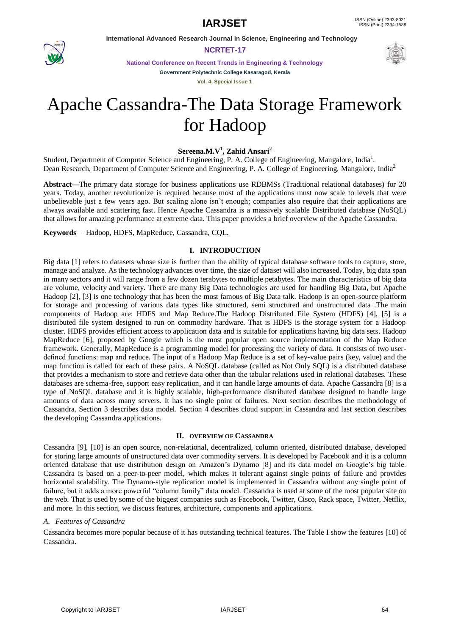**NCRTET-17**

**National Conference on Recent Trends in Engineering & Technology**



**Government Polytechnic College Kasaragod, Kerala**

# **Vol. 4, Special Issue 1** Apache Cassandra-The Data Storage Framework

# **Sereena.M.V<sup>1</sup> , Zahid Ansari<sup>2</sup>**

for Hadoop

Student, Department of Computer Science and Engineering, P. A. College of Engineering, Mangalore, India<sup>1</sup>. Dean Research, Department of Computer Science and Engineering, P. A. College of Engineering, Mangalore, India<sup>2</sup>

**Abstract—**The primary data storage for business applications use RDBMSs (Traditional relational databases) for 20 years. Today, another revolutionize is required because most of the applications must now scale to levels that were unbelievable just a few years ago. But scaling alone isn't enough; companies also require that their applications are always available and scattering fast. Hence Apache Cassandra is a massively scalable Distributed database (NoSQL) that allows for amazing performance at extreme data. This paper provides a brief overview of the Apache Cassandra.

**Keywords**— Hadoop, HDFS, MapReduce, Cassandra, CQL.

# **I. INTRODUCTION**

Big data [1] refers to datasets whose size is further than the ability of typical database software tools to capture, store, manage and analyze. As the technology advances over time, the size of dataset will also increased. Today, big data span in many sectors and it will range from a few dozen terabytes to multiple petabytes. The main characteristics of big data are volume, velocity and variety. There are many Big Data technologies are used for handling Big Data, but Apache Hadoop [2], [3] is one technology that has been the most famous of Big Data talk. Hadoop is an open-source platform for storage and processing of various data types like structured, semi structured and unstructured data .The main components of Hadoop are: HDFS and Map Reduce.The Hadoop Distributed File System (HDFS) [4], [5] is a distributed file system designed to run on commodity hardware. That is HDFS is the storage system for a Hadoop cluster. HDFS provides efficient access to application data and is suitable for applications having big data sets. Hadoop MapReduce [6], proposed by Google which is the most popular open source implementation of the Map Reduce framework. Generally, MapReduce is a programming model for processing the variety of data. It consists of two userdefined functions: map and reduce. The input of a Hadoop Map Reduce is a set of key-value pairs (key, value) and the map function is called for each of these pairs. A NoSQL database (called as Not Only SQL) is a distributed database that provides a mechanism to store and retrieve data other than the tabular relations used in relational databases. These databases are schema-free, support easy replication, and it can handle large amounts of data. Apache Cassandra [8] is a type of NoSQL database and it is highly scalable, high-performance distributed database designed to handle large amounts of data across many servers. It has no single point of failures. Next section describes the methodology of Cassandra. Section 3 describes data model. Section 4 describes cloud support in Cassandra and last section describes the developing Cassandra applications.

# **II.** OVERVIEW OF CASSANDRA

Cassandra [9], [10] is an open source, non-relational, decentralized, column oriented, distributed database, developed for storing large amounts of unstructured data over commodity servers. It is developed by Facebook and it is a column oriented database that use distribution design on Amazon's Dynamo [8] and its data model on Google's big table. Cassandra is based on a peer-to-peer model, which makes it tolerant against single points of failure and provides horizontal scalability. The Dynamo-style replication model is implemented in Cassandra without any single point of failure, but it adds a more powerful "column family" data model. Cassandra is used at some of the most popular site on the web. That is used by some of the biggest companies such as Facebook, Twitter, Cisco, Rack space, Twitter, Netflix, and more. In this section, we discuss features, architecture, components and applications.

# *A. Features of Cassandra*

Cassandra becomes more popular because of it has outstanding technical features. The Table I show the features [10] of Cassandra.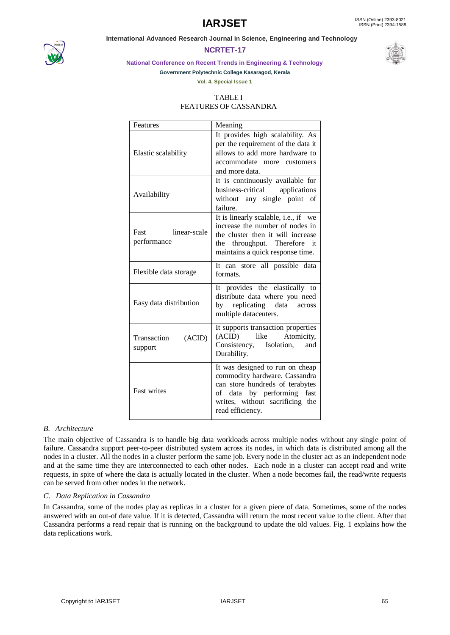**IARJSET** ISSN (Online) 2393-8021 ISSN (Print) 2394-1588

 **International Advanced Research Journal in Science, Engineering and Technology**



**NCRTET-17**

# **National Conference on Recent Trends in Engineering & Technology**

**Government Polytechnic College Kasaragod, Kerala**

**Vol. 4, Special Issue 1**

# TABLE I

# FEATURES OF CASSANDRA

| Features                            | Meaning                                                                                                                                                                                        |
|-------------------------------------|------------------------------------------------------------------------------------------------------------------------------------------------------------------------------------------------|
| Elastic scalability                 | It provides high scalability. As<br>per the requirement of the data it<br>allows to add more hardware to<br>accommodate more customers<br>and more data.                                       |
| Availability                        | It is continuously available for<br>business-critical applications<br>without any single point of<br>failure.                                                                                  |
| linear-scale<br>Fast<br>performance | It is linearly scalable, i.e., if we<br>increase the number of nodes in<br>the cluster then it will increase<br>the throughput. Therefore it<br>maintains a quick response time.               |
| Flexible data storage               | It can store all possible data<br>formats.                                                                                                                                                     |
| Easy data distribution              | It provides the elastically to<br>distribute data where you need<br>by<br>replicating data<br>across<br>multiple datacenters.                                                                  |
| (ACID)<br>Transaction<br>support    | It supports transaction properties<br>(ACID)<br>like<br>Atomicity,<br>Consistency, Isolation,<br>and<br>Durability.                                                                            |
| <b>Fast writes</b>                  | It was designed to run on cheap<br>commodity hardware. Cassandra<br>can store hundreds of terabytes<br>data by performing<br>fast<br>of<br>writes, without sacrificing the<br>read efficiency. |

# *B. Architecture*

The main objective of Cassandra is to handle big data workloads across multiple nodes without any single point of failure. Cassandra support peer-to-peer distributed system across its nodes, in which data is distributed among all the nodes in a cluster. All the nodes in a cluster perform the same job. Every node in the cluster act as an independent node and at the same time they are interconnected to each other nodes. Each node in a cluster can accept read and write requests, in spite of where the data is actually located in the cluster. When a node becomes fail, the read/write requests can be served from other nodes in the network.

### *C. Data Replication in Cassandra*

In Cassandra, some of the nodes play as replicas in a cluster for a given piece of data. Sometimes, some of the nodes answered with an out-of date value. If it is detected, Cassandra will return the most recent value to the client. After that Cassandra performs a read repair that is running on the background to update the old values. Fig. 1 explains how the data replications work.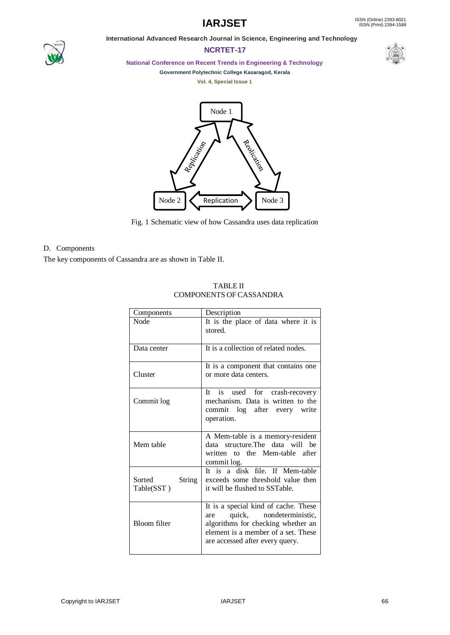**IARJSET** ISSN (Online) 2393-8021

 **International Advanced Research Journal in Science, Engineering and Technology**



**NCRTET-17**



**National Conference on Recent Trends in Engineering & Technology**

**Government Polytechnic College Kasaragod, Kerala Vol. 4, Special Issue 1**



Fig. 1 Schematic view of how Cassandra uses data replication

# D. Components

The key components of Cassandra are as shown in Table II.

| Components                            | Description                                                                                                                                                                                |
|---------------------------------------|--------------------------------------------------------------------------------------------------------------------------------------------------------------------------------------------|
| Node                                  | It is the place of data where it is<br>stored.                                                                                                                                             |
| Data center                           | It is a collection of related nodes.                                                                                                                                                       |
| Cluster                               | It is a component that contains one<br>or more data centers.                                                                                                                               |
| Commit log                            | It is used for crash-recovery<br>mechanism. Data is written to the<br>commit log after every write<br>operation.                                                                           |
| Mem table                             | A Mem-table is a memory-resident<br>data structure. The data will be<br>written to the Mem-table after<br>commit log.                                                                      |
| Sorted<br><b>String</b><br>Table(SST) | It is a disk file. If Mem-table<br>exceeds some threshold value then<br>it will be flushed to SSTable.                                                                                     |
| Bloom filter                          | It is a special kind of cache. These<br>quick,<br>nondeterministic,<br>are<br>algorithms for checking whether an<br>element is a member of a set. These<br>are accessed after every query. |

# TABLE II COMPONENTS OF CASSANDRA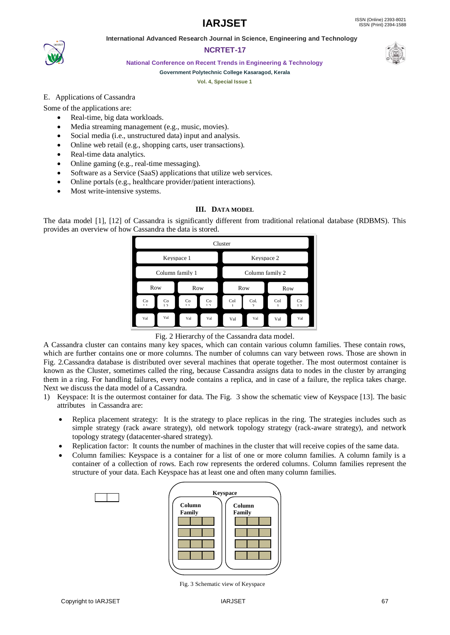

**NCRTET-17**

# **National Conference on Recent Trends in Engineering & Technology**

**Government Polytechnic College Kasaragod, Kerala Vol. 4, Special Issue 1**

E. Applications of Cassandra

Some of the applications are:

- Real-time, big data workloads.
- Media streaming management (e.g., music, movies).
- Social media (i.e., unstructured data) input and analysis.
- Online web retail (e.g., shopping carts, user transactions).
- Real-time data analytics.
- Online gaming (e.g., real-time messaging).
- Software as a Service (SaaS) applications that utilize web services.
- Online portals (e.g., healthcare provider/patient interactions).
- Most write-intensive systems.

# **III. DATA MODEL**

The data model [1], [12] of Cassandra is significantly different from traditional relational database (RDBMS). This provides an overview of how Cassandra the data is stored.

| Cluster         |                      |                 |                      |                     |                  |          |                      |
|-----------------|----------------------|-----------------|----------------------|---------------------|------------------|----------|----------------------|
|                 | Keyspace 1           |                 |                      |                     | Keyspace 2       |          |                      |
| Column family 1 |                      | Column family 2 |                      |                     |                  |          |                      |
|                 | Row                  | Row             |                      | Row                 |                  | Row      |                      |
| Co<br>$1 - 1$   | Co<br>$\overline{1}$ | Co<br>1.1       | Co<br>$\overline{1}$ | Col<br>$\mathbf{1}$ | Col.<br>$\gamma$ | Col<br>1 | Co<br>$\overline{1}$ |
| Val             | Val                  | Val             | Val                  | Val                 | Val              | Val      | Val                  |

Fig. 2 Hierarchy of the Cassandra data model.

A Cassandra cluster can contains many key spaces, which can contain various column families. These contain rows, which are further contains one or more columns. The number of columns can vary between rows. Those are shown in Fig. 2.Cassandra database is distributed over several machines that operate together. The most outermost container is known as the Cluster, sometimes called the ring, because Cassandra assigns data to nodes in the cluster by arranging them in a ring. For handling failures, every node contains a replica, and in case of a failure, the replica takes charge. Next we discuss the data model of a Cassandra.

- 1) Keyspace: It is the outermost container for data. The Fig. 3 show the schematic view of Keyspace [13]. The basic attributes in Cassandra are:
	- Replica placement strategy: It is the strategy to place replicas in the ring. The strategies includes such as simple strategy (rack aware strategy), old network topology strategy (rack-aware strategy), and network topology strategy (datacenter-shared strategy).
	- Replication factor: It counts the number of machines in the cluster that will receive copies of the same data.
	- Column families: Keyspace is a container for a list of one or more column families. A column family is a container of a collection of rows. Each row represents the ordered columns. Column families represent the structure of your data. Each Keyspace has at least one and often many column families.



Fig. 3 Schematic view of Keyspace

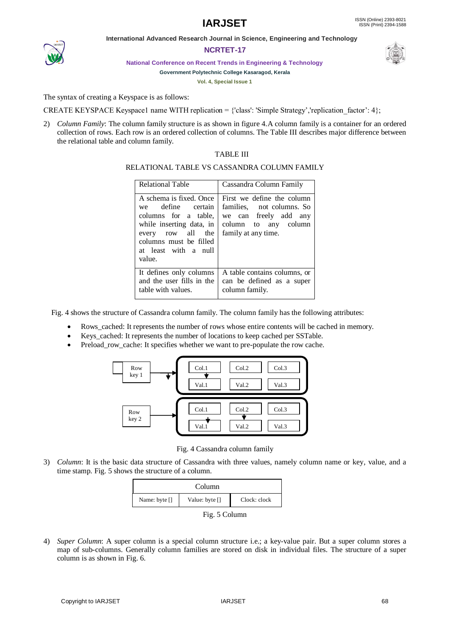**NCRTET-17**



**National Conference on Recent Trends in Engineering & Technology**

**Government Polytechnic College Kasaragod, Kerala Vol. 4, Special Issue 1**

The syntax of creating a Keyspace is as follows:

CREATE KEYSPACE Keyspace1 name WITH replication = {'class': 'Simple Strategy','replication factor': 4};

2) *Column Family*: The column family structure is as shown in figure 4.A column family is a container for an ordered collection of rows. Each row is an ordered collection of columns. The Table III describes major difference between the relational table and column family.

# TABLE III

# RELATIONAL TABLE VS CASSANDRA COLUMN FAMILY

| Relational Table                                                                                                                                                                  | Cassandra Column Family                                                                                                         |
|-----------------------------------------------------------------------------------------------------------------------------------------------------------------------------------|---------------------------------------------------------------------------------------------------------------------------------|
| A schema is fixed. Once<br>we define certain<br>columns for a table,<br>while inserting data, in<br>every row all the<br>columns must be filled<br>at least with a null<br>value. | First we define the column<br>families, not columns. So<br>we can freely add any<br>column to any column<br>family at any time. |
| It defines only columns<br>and the user fills in the<br>table with values.                                                                                                        | A table contains columns, or<br>can be defined as a super<br>column family.                                                     |

Fig. 4 shows the structure of Cassandra column family. The column family has the following attributes:

- Rows\_cached: It represents the number of rows whose entire contents will be cached in memory.
- Keys\_cached: It represents the number of locations to keep cached per SSTable.
- Preload row cache: It specifies whether we want to pre-populate the row cache.



Fig. 4 Cassandra column family

3) *Column*: It is the basic data structure of Cassandra with three values, namely column name or key, value, and a time stamp. Fig. 5 shows the structure of a column.

|                     | Column             |              |
|---------------------|--------------------|--------------|
| Name: byte []       | Value: byte $\Box$ | Clock: clock |
| ÷-<br>$\sim$ $\sim$ |                    |              |

Fig. 5 Column

4) *Super Column*: A super column is a special column structure i.e.; a key-value pair. But a super column stores a map of sub-columns. Generally column families are stored on disk in individual files. The structure of a super column is as shown in Fig. 6.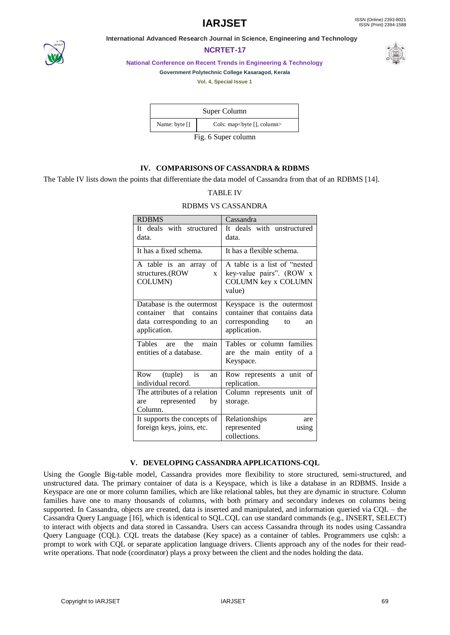**IARJSET** ISSN (Online) 2393-8021 ISSN (Print) 2394-1588

 **International Advanced Research Journal in Science, Engineering and Technology**

### **NCRTET-17**



**National Conference on Recent Trends in Engineering & Technology**

**Government Polytechnic College Kasaragod, Kerala**

**Vol. 4, Special Issue 1**

| Super Column  |                                 |
|---------------|---------------------------------|
| Name: byte [] | Cols: map<br>shoute [], column> |

Fig. 6 Super column

# **IV. COMPARISONS OF CASSANDRA & RDBMS**

The Table IV lists down the points that differentiate the data model of Cassandra from that of an RDBMS [14].

# TABLE IV

# RDBMS VS CASSANDRA

| <b>RDBMS</b>                             | Cassandra                                 |
|------------------------------------------|-------------------------------------------|
| It deals with structured<br>data.        | It deals with unstructured<br>data.       |
|                                          |                                           |
| It has a fixed schema.                   | It has a flexible schema.                 |
| A table is an array of                   | A table is a list of "nested"             |
| structures.(ROW<br>$\mathbf{x}$          | key-value pairs". (ROW x                  |
| COLUMN)                                  | <b>COLUMN key x COLUMN</b><br>value)      |
| Database is the outermost                | Keyspace is the outermost                 |
| container that contains                  | container that contains data              |
| data corresponding to an<br>application. | corresponding<br>to<br>an<br>application. |
| Tables are the<br>main                   | Tables or column families                 |
| entities of a database.                  | are the main entity of a                  |
|                                          | Keyspace.                                 |
| Row (tuple) is<br>an                     | Row represents a unit of                  |
| individual record.                       | replication.                              |
| The attributes of a relation             | Column represents unit of                 |
| represented<br>by<br>are                 | storage.                                  |
| Column.                                  |                                           |
| It supports the concepts of              | Relationships<br>are                      |
| foreign keys, joins, etc.                | represented<br>using                      |
|                                          | collections.                              |

# **V. DEVELOPING CASSANDRA APPLICATIONS-CQL**

Using the Google Big-table model, Cassandra provides more flexibility to store structured, semi-structured, and unstructured data. The primary container of data is a Keyspace, which is like a database in an RDBMS. Inside a Keyspace are one or more column families, which are like relational tables, but they are dynamic in structure. Column families have one to many thousands of columns, with both primary and secondary indexes on columns being supported. In Cassandra, objects are created, data is inserted and manipulated, and information queried via CQL – the Cassandra Query Language [16], which is identical to SQL.CQL can use standard commands (e.g., INSERT, SELECT) to interact with objects and data stored in Cassandra. Users can access Cassandra through its nodes using Cassandra Query Language (CQL). CQL treats the database (Key space) as a container of tables. Programmers use cqlsh: a prompt to work with CQL or separate application language drivers. Clients approach any of the nodes for their readwrite operations. That node (coordinator) plays a proxy between the client and the nodes holding the data.